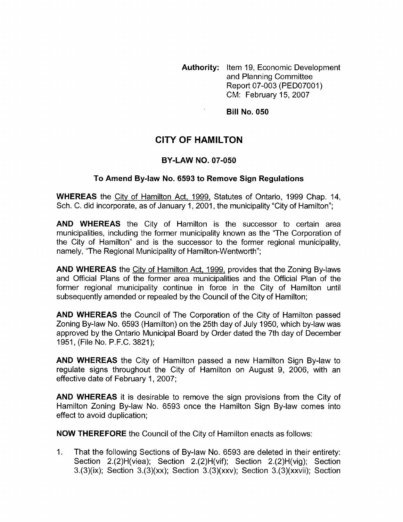**Authority:** Item 19, Economic Development and Planning Committee Report 07-003 (PED07001) CM: February 15,2007

**Bill No. 050** 

# **CITY OF HAMILTON**

#### **BY-LAW NO. 07-050**

#### **To Amend By-law No. 6593 to Remove Sign Regulations**

**WHEREAS** the Citv of Hamilton Act, 1999, Statutes of Ontario, 1999 Chap. 14, Sch. C. did incorporate, as of January 1, 2001, the municipality "City of Hamilton";

**AND WHEREAS** the City of Hamilton is the successor to certain area municipalities, including the former municipality known as the "The Corporation of the City of Hamilton" and is the successor to the former regional municipality, namely, "The Regional Municipality of Hamilton-Wentworth";

**AND WHEREAS** the Citv of Hamilton Act, 1999, provides that the Zoning By-laws and Official Plans of the former area municipalities and the Official Plan of the former regional municipality continue in force in the City of Hamilton until subsequently amended or repealed by the Council of the City of Hamilton;

**AND WHEREAS** the Council of The Corporation of the City of Hamilton passed Zoning By-law No. 6593 (Hamilton) on the 25th day of July 1950, which by-law was approved by the Ontario Municipal Board by Order dated the 7th day of December 1951, (File No. P.F.C. 3821);

**AND WHEREAS** the City of Hamilton passed a new Hamilton Sign By-law to regulate signs throughout the City of Hamilton on August 9, 2006, with an effective date of February 1, 2007;

**AND WHEREAS** it is desirable to remove the sign provisions from the City of Hamilton Zoning By-law No. 6593 once the Hamilton Sign By-law comes into effect to avoid duplication;

**NOW THEREFORE** the Council of the City of Hamilton enacts as follows:

1. That the following Sections of By-law No. 6593 are deleted in their entirety: Section 2.(2)H(viea); Section 2.(2)H(vif); Section 2.(2)H(vig); Section 3.(3)(ix); Section 3.(3)(xx); Section 3.(3)(xxv); Section 3.(3)(xxvii); Section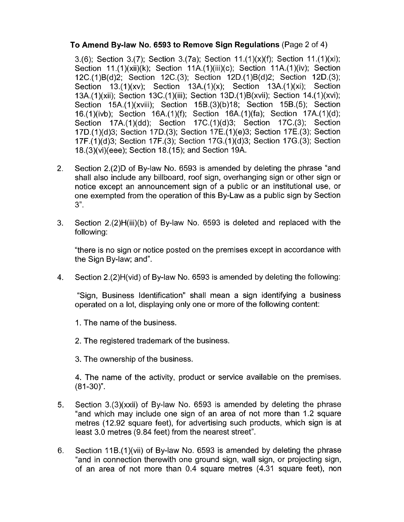## **To Amend By-law No. 6593 to Remove Sign Regulations (Page 2 of 4)**

3.(6); Section 3.(7); Section 3.(7a); Section  $11.(1)(x)(f)$ ; Section  $11.(1)(xi)$ ; Section 11.(1)(xii)(k); Section 11A.(1)(iii)(c); Section 11A.(1)(iv); Section 12C.( 1 )B(d)2; Section 12C.(3); Section 12D.( 1 )B(d)2; Section 12D.(3); Section 13.(1)(xv); Section 13A.(1)(x); Section 13A.(1)(xi); Section 13A.( 1 )(xi); Section 13C.( 1 )( iii); Section 13D.( 1 )B(xvii); Section 14.( 1 )(xvi); Section 15A.(1)(xviii); Section 15B.(3)(b)18; Section 15B.(5); Section 16.(1)(ivb); Section 16A.(1)(f); Section 16A.(1)(fa); Section 17A.(1)(d); Section 17A.(1)(dd); Section 17C.(1)(d)3; Section 17C.(3); Section 17D.( 1 )(d)3; Section 17D.(3); Section 17E.(l)(e)3; Section 17E.(3); Section 17F.(1)(d)3; Section 17F.(3); Section 17G.(1)(d)3; Section 17G.(3); Section I8.(3)(vi)(eee); Section 18.( 15); and Section 19A.

- 2. Section 2.(2)D of By-law No. 6593 is amended by deleting the phrase "and shall also include any billboard, roof sign, overhanging sign or other sign or notice except an announcement sign of a public or an institutional use, or one exempted from the operation of this By-Law as a public sign by Section 3".
- 3. Section 2.(2)H(iii)(b) of By-law No. 6593 is deleted and replaced with the following:

"there is no sign or notice posted on the premises except in accordance with the Sign By-law; and".

**4.** Section 2.(2)H(vid) of By-law No. 6593 is amended by deleting the following:

"Sign, Business Identification" shall mean a sign identifying a business operated on a lot, displaying only one or more of the following content:

- 1. The name of the business.
- 2. The registered trademark of the business.
- 3. The ownership of the business.

**4.** The name of the activity, product or service available on the premises.  $(81 - 30)$ ".

- 5. Section 3.(3)(xxii) of By-law No. 6593 is amended by deleting the phrase "and which may include one sign of an area of not more than 1.2 square metres (12.92 square feet), for advertising such products, which sign is at least 3.0 metres (9.84 feet) from the nearest street".
- 6. Section 11B.(1)(vii) of By-law No. 6593 is amended by deleting the phrase "and in connection therewith one ground sign, wall sign, or projecting sign, of an area of not more than 0.4 square metres (4.31 square feet), non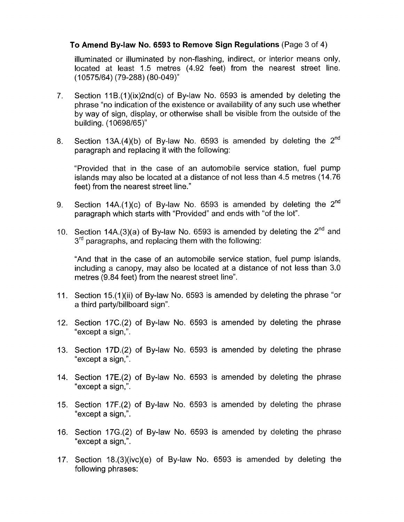### **To Amend Bylaw No. 6593 to Remove Sign Regulations** (Page 3 of 4)

illuminated or illuminated by non-flashing, indirect, or interior means only, located at least 1.5 metres (4.92 feet) from the nearest street line. (1 0575/64) (79-288) (80-049)"

- 7. Section 11B.(1)(ix)2nd(c) of By-law No. 6593 is amended by deleting the phrase "no indication of the existence or availability of any such use whether by way of sign, display, or otherwise shall be visible from the outside of the building. (10698/65)"
- 8. Section 13A.(4)(b) of By-law No. 6593 is amended by deleting the  $2^{nd}$ paragraph and replacing it with the following:

"Provided that in the case of an automobile service station, fuel pump islands may also be located at a distance of not less than 4.5 metres (14.76 feet) from the nearest street line."

- 9. Section 14A.(1)(c) of By-law No. 6593 is amended by deleting the  $2<sup>nd</sup>$ paragraph which starts with "Provided" and ends with "of the lot".
- 10. Section 14A.(3)(a) of By-law No. 6593 is amended by deleting the  $2^{n\alpha}$  and  $3<sup>rd</sup>$  paragraphs, and replacing them with the following:

"And that in the case of an automobile service station, fuel pump islands, including a canopy, may also be located at a distance of not less than 3.0 metres (9.84 feet) from the nearest street line".

- 11. Section 15.(1)(ii) of By-law No. 6593 is amended by deleting the phrase "or a third party/billboard sign".
- 12. Section 17C.(2) of By-law No. 6593 is amended by deleting the phrase "except a sign,".
- 13. Section 17D.(2) of By-law No. 6593 is amended by deleting the phrase "except a sign,".
- 14. Section 17E.(2) of By-law No. 6593 is amended by deleting the phrase "except a sign,".
- 15. Section 17F.(2) of By-law No. 6593 is amended by deleting the phrase "except a sign,".
- 16. Section 17G.(2) of By-law No. 6593 is amended by deleting the phrase "except a sign,".
- 17. Section I8.(3)(ivc)(e) of By-law No. 6593 is amended by deleting the following phrases: